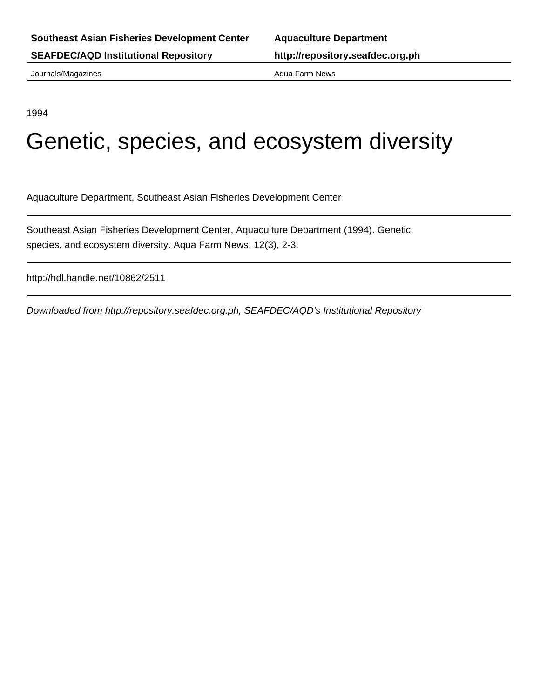Journals/Magazines **Aqua Farm News** Aqua Farm News

1994

# Genetic, species, and ecosystem diversity

Aquaculture Department, Southeast Asian Fisheries Development Center

Southeast Asian Fisheries Development Center, Aquaculture Department (1994). Genetic, species, and ecosystem diversity. Aqua Farm News, 12(3), 2-3.

http://hdl.handle.net/10862/2511

Downloaded from http://repository.seafdec.org.ph, SEAFDEC/AQD's Institutional Repository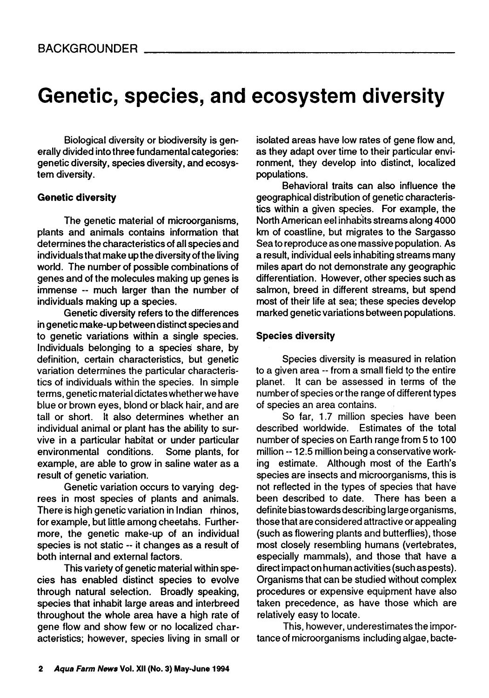## **Genetic, species, and ecosystem diversity**

Biological diversity or biodiversity is generally divided into three fundamental categories: genetic diversity, species diversity, and ecosystem diversity.

### **Genetic diversity**

The genetic material of microorganisms, plants and animals contains information that determines the characteristics of all species and individuals that make up the diversity of the living world. The number of possible combinations of genes and of the molecules making up genes is immense -- much larger than the number of individuals making up a species.

Genetic diversity refers to the differences in genetic make-up between distinct species and to genetic variations within a single species. Individuals belonging to a species share, by definition, certain characteristics, but genetic variation determines the particular characteristics of individuals within the species. In simple terms, genetic material dictates whether we have blue or brown eyes, blond or black hair, and are tall or short. It also determines whether an individual animal or plant has the ability to survive in a particular habitat or under particular environmental conditions. Some plants, for example, are able to grow in saline water as a result of genetic variation.

Genetic variation occurs to varying degrees in most species of plants and animals. There is high genetic variation in Indian rhinos, for example, but little among cheetahs. Furthermore, the genetic make-up of an individual species is not static -- it changes as a result of both internal and external factors.

This variety of genetic material within species has enabled distinct species to evolve through natural selection. Broadly speaking, species that inhabit large areas and interbreed throughout the whole area have a high rate of gene flow and show few or no localized characteristics; however, species living in small or isolated areas have low rates of gene flow and, as they adapt over time to their particular environment, they develop into distinct, localized populations.

Behavioral traits can also influence the geographical distribution of genetic characteristics within a given species. For example, the North American eel inhabits streams along 4000 km of coastline, but migrates to the Sargasso Sea to reproduce as one massive population. As a result, individual eels inhabiting streams many miles apart do not demonstrate any geographic differentiation. However, other species such as salmon, breed in different streams, but spend most of their life at sea; these species develop marked genetic variations between populations.

#### **Species diversity**

Species diversity is measured in relation to a given area - from a small field to the entire planet. It can be assessed in terms of the number of species or the range of different types of species an area contains.

So far, 1.7 million species have been described worldwide. Estimates of the total number of species on Earth range from 5 to 100 million -- 12.5 million being a conservative working estimate. Although most of the Earth's species are insects and microorganisms, this is not reflected in the types of species that have been described to date. There has been a definite bias towards describing large organisms, those that are considered attractive or appealing (such as flowering plants and butterflies), those most closely resembling humans (vertebrates, especially mammals), and those that have a direct impact on human activities (such as pests). Organisms that can be studied without complex procedures or expensive equipment have also taken precedence, as have those which are relatively easy to locate.

This, however, underestimates the importance of microorganisms including algae, bacte-